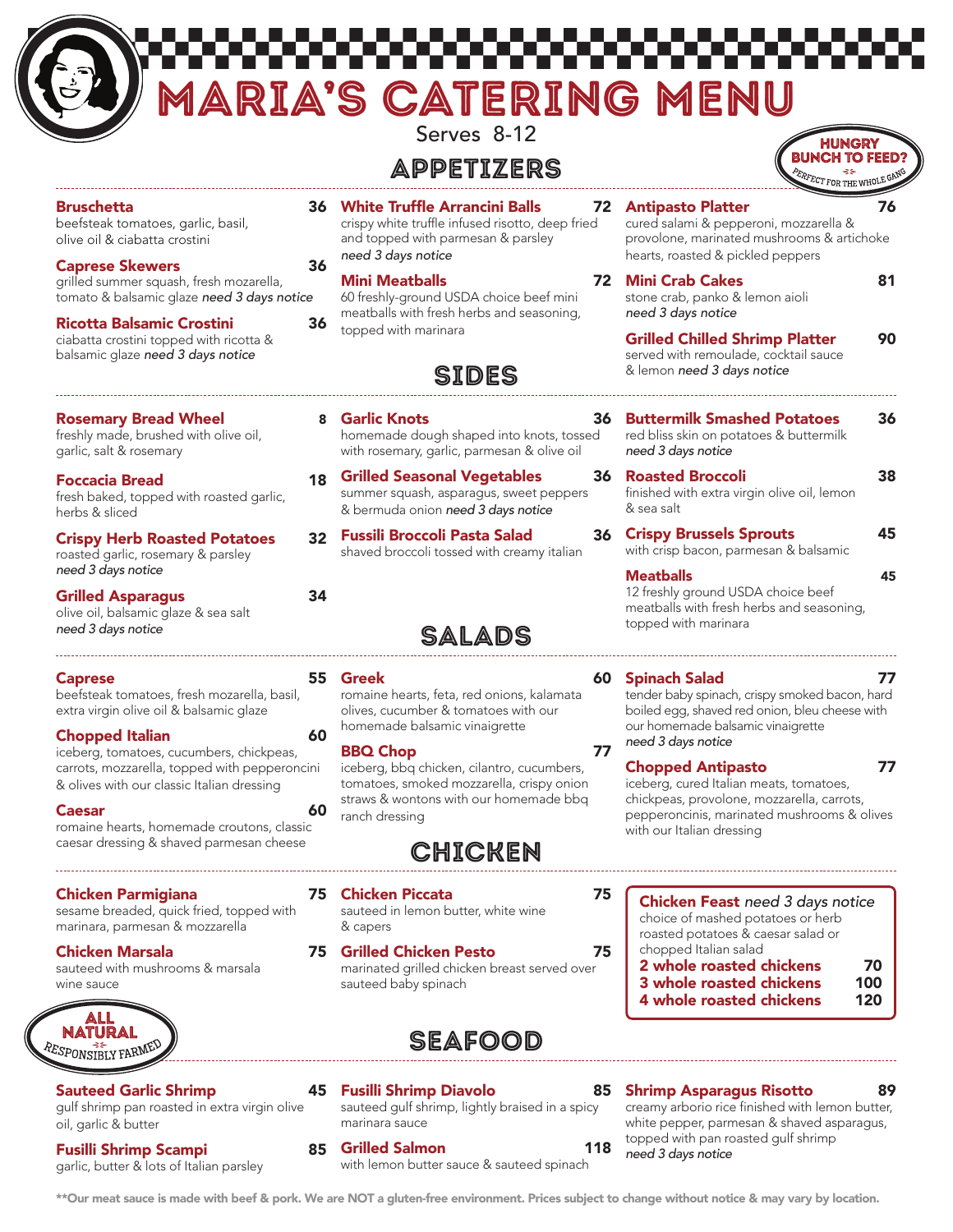| <b>Bruschetta</b><br><b>36 White Truffle Arrancini Balls</b><br><b>Antipasto Platter</b><br>72<br>crispy white truffle infused risotto, deep fried<br>beefsteak tomatoes, garlic, basil,<br>cured salami & pepperoni, mozzarella &<br>provolone, marinated mushrooms & artichoke<br>and topped with parmesan & parsley<br>olive oil & ciabatta crostini<br>need 3 days notice<br>hearts, roasted & pickled peppers<br><b>Caprese Skewers</b><br>36<br><b>Mini Crab Cakes</b><br><b>Mini Meatballs</b><br>72<br>grilled summer squash, fresh mozarella,<br>tomato & balsamic glaze need 3 days notice<br>60 freshly-ground USDA choice beef mini<br>stone crab, panko & lemon aioli<br>meatballs with fresh herbs and seasoning,<br>need 3 days notice<br><b>Ricotta Balsamic Crostini</b><br>36<br>topped with marinara<br><b>Grilled Chilled Shrimp Platter</b><br>ciabatta crostini topped with ricotta &<br>balsamic glaze need 3 days notice<br>served with remoulade, cocktail sauce<br>& lemon need 3 days notice<br><b>SIDES</b><br>8 Garlic Knots<br><b>Buttermilk Smashed Potatoes</b><br><b>Rosemary Bread Wheel</b><br>36.<br>freshly made, brushed with olive oil,<br>homemade dough shaped into knots, tossed<br>red bliss skin on potatoes & buttermilk<br>garlic, salt & rosemary<br>need 3 days notice<br>with rosemary, garlic, parmesan & olive oil<br><b>Roasted Broccoli</b><br><b>Grilled Seasonal Vegetables</b><br>36.<br>18<br><b>Foccacia Bread</b><br>summer squash, asparagus, sweet peppers<br>finished with extra virgin olive oil, lemon<br>fresh baked, topped with roasted garlic,<br>& bermuda onion need 3 days notice<br>& sea salt<br>herbs & sliced<br><b>Crispy Brussels Sprouts</b><br><b>Fussili Broccoli Pasta Salad</b><br>36<br>32<br><b>Crispy Herb Roasted Potatoes</b><br>with crisp bacon, parmesan & balsamic<br>shaved broccoli tossed with creamy italian<br>roasted garlic, rosemary & parsley<br>need 3 days notice<br><b>Meatballs</b><br>12 freshly ground USDA choice beef<br>34<br><b>Grilled Asparagus</b><br>meatballs with fresh herbs and seasoning,<br>olive oil, balsamic glaze & sea salt<br>topped with marinara<br>need 3 days notice<br>SALADS<br>55 Greek<br><b>Spinach Salad</b><br>60<br><b>Caprese</b><br>tender baby spinach, crispy smoked bacon, hard<br>beefsteak tomatoes, fresh mozarella, basil,<br>romaine hearts, feta, red onions, kalamata<br>olives, cucumber & tomatoes with our<br>boiled egg, shaved red onion, bleu cheese with<br>extra virgin olive oil & balsamic glaze<br>homemade balsamic vinaigrette<br>our homemade balsamic vinaigrette<br><b>Chopped Italian</b><br>60<br>need 3 days notice<br>77<br><b>BBQ Chop</b><br>iceberg, tomatoes, cucumbers, chickpeas,<br><b>Chopped Antipasto</b><br>carrots, mozzarella, topped with pepperoncini<br>iceberg, bbq chicken, cilantro, cucumbers,<br>tomatoes, smoked mozzarella, crispy onion<br>iceberg, cured Italian meats, tomatoes,<br>& olives with our classic Italian dressing<br>straws & wontons with our homemade bbq<br>chickpeas, provolone, mozzarella, carrots,<br>60<br>Caesar<br>pepperoncinis, marinated mushrooms & olives<br>ranch dressing<br>romaine hearts, homemade croutons, classic<br>with our Italian dressing<br>caesar dressing & shaved parmesan cheese<br><b>CHICKEN</b><br><b>Chicken Parmigiana</b><br>75<br><b>Chicken Piccata</b><br>75<br><b>Chicken Feast</b> need 3 days notice<br>sesame breaded, quick fried, topped with<br>sauteed in lemon butter, white wine<br>choice of mashed potatoes or herb<br>marinara, parmesan & mozzarella<br>& capers<br>roasted potatoes & caesar salad or<br>chopped Italian salad<br><b>Chicken Marsala</b><br><b>Grilled Chicken Pesto</b><br>75<br>75.<br>2 whole roasted chickens<br>70<br>sauteed with mushrooms & marsala<br>marinated grilled chicken breast served over<br>3 whole roasted chickens<br>100<br>sauteed baby spinach<br>wine sauce<br>120 |  | Serves 8-12<br>APPETIZERS | HUNGRY<br><b>TO FEED</b><br>ERFECT FOR THE WHOLE GP |    |
|---------------------------------------------------------------------------------------------------------------------------------------------------------------------------------------------------------------------------------------------------------------------------------------------------------------------------------------------------------------------------------------------------------------------------------------------------------------------------------------------------------------------------------------------------------------------------------------------------------------------------------------------------------------------------------------------------------------------------------------------------------------------------------------------------------------------------------------------------------------------------------------------------------------------------------------------------------------------------------------------------------------------------------------------------------------------------------------------------------------------------------------------------------------------------------------------------------------------------------------------------------------------------------------------------------------------------------------------------------------------------------------------------------------------------------------------------------------------------------------------------------------------------------------------------------------------------------------------------------------------------------------------------------------------------------------------------------------------------------------------------------------------------------------------------------------------------------------------------------------------------------------------------------------------------------------------------------------------------------------------------------------------------------------------------------------------------------------------------------------------------------------------------------------------------------------------------------------------------------------------------------------------------------------------------------------------------------------------------------------------------------------------------------------------------------------------------------------------------------------------------------------------------------------------------------------------------------------------------------------------------------------------------------------------------------------------------------------------------------------------------------------------------------------------------------------------------------------------------------------------------------------------------------------------------------------------------------------------------------------------------------------------------------------------------------------------------------------------------------------------------------------------------------------------------------------------------------------------------------------------------------------------------------------------------------------------------------------------------------------------------------------------------------------------------------------------------------------------------------------------------------------------------------------------------------------------------------------------------------------------------------------------------------------------------------------------------------------------------------------------------------------------------------------------------------------------------------------------------------------------------------------------------------------------------------------------------------------------------------------|--|---------------------------|-----------------------------------------------------|----|
|                                                                                                                                                                                                                                                                                                                                                                                                                                                                                                                                                                                                                                                                                                                                                                                                                                                                                                                                                                                                                                                                                                                                                                                                                                                                                                                                                                                                                                                                                                                                                                                                                                                                                                                                                                                                                                                                                                                                                                                                                                                                                                                                                                                                                                                                                                                                                                                                                                                                                                                                                                                                                                                                                                                                                                                                                                                                                                                                                                                                                                                                                                                                                                                                                                                                                                                                                                                                                                                                                                                                                                                                                                                                                                                                                                                                                                                                                                                                                                                       |  |                           |                                                     | 76 |
|                                                                                                                                                                                                                                                                                                                                                                                                                                                                                                                                                                                                                                                                                                                                                                                                                                                                                                                                                                                                                                                                                                                                                                                                                                                                                                                                                                                                                                                                                                                                                                                                                                                                                                                                                                                                                                                                                                                                                                                                                                                                                                                                                                                                                                                                                                                                                                                                                                                                                                                                                                                                                                                                                                                                                                                                                                                                                                                                                                                                                                                                                                                                                                                                                                                                                                                                                                                                                                                                                                                                                                                                                                                                                                                                                                                                                                                                                                                                                                                       |  |                           |                                                     | 81 |
|                                                                                                                                                                                                                                                                                                                                                                                                                                                                                                                                                                                                                                                                                                                                                                                                                                                                                                                                                                                                                                                                                                                                                                                                                                                                                                                                                                                                                                                                                                                                                                                                                                                                                                                                                                                                                                                                                                                                                                                                                                                                                                                                                                                                                                                                                                                                                                                                                                                                                                                                                                                                                                                                                                                                                                                                                                                                                                                                                                                                                                                                                                                                                                                                                                                                                                                                                                                                                                                                                                                                                                                                                                                                                                                                                                                                                                                                                                                                                                                       |  |                           |                                                     | 90 |
|                                                                                                                                                                                                                                                                                                                                                                                                                                                                                                                                                                                                                                                                                                                                                                                                                                                                                                                                                                                                                                                                                                                                                                                                                                                                                                                                                                                                                                                                                                                                                                                                                                                                                                                                                                                                                                                                                                                                                                                                                                                                                                                                                                                                                                                                                                                                                                                                                                                                                                                                                                                                                                                                                                                                                                                                                                                                                                                                                                                                                                                                                                                                                                                                                                                                                                                                                                                                                                                                                                                                                                                                                                                                                                                                                                                                                                                                                                                                                                                       |  |                           |                                                     | 36 |
|                                                                                                                                                                                                                                                                                                                                                                                                                                                                                                                                                                                                                                                                                                                                                                                                                                                                                                                                                                                                                                                                                                                                                                                                                                                                                                                                                                                                                                                                                                                                                                                                                                                                                                                                                                                                                                                                                                                                                                                                                                                                                                                                                                                                                                                                                                                                                                                                                                                                                                                                                                                                                                                                                                                                                                                                                                                                                                                                                                                                                                                                                                                                                                                                                                                                                                                                                                                                                                                                                                                                                                                                                                                                                                                                                                                                                                                                                                                                                                                       |  |                           |                                                     | 38 |
|                                                                                                                                                                                                                                                                                                                                                                                                                                                                                                                                                                                                                                                                                                                                                                                                                                                                                                                                                                                                                                                                                                                                                                                                                                                                                                                                                                                                                                                                                                                                                                                                                                                                                                                                                                                                                                                                                                                                                                                                                                                                                                                                                                                                                                                                                                                                                                                                                                                                                                                                                                                                                                                                                                                                                                                                                                                                                                                                                                                                                                                                                                                                                                                                                                                                                                                                                                                                                                                                                                                                                                                                                                                                                                                                                                                                                                                                                                                                                                                       |  |                           |                                                     | 45 |
|                                                                                                                                                                                                                                                                                                                                                                                                                                                                                                                                                                                                                                                                                                                                                                                                                                                                                                                                                                                                                                                                                                                                                                                                                                                                                                                                                                                                                                                                                                                                                                                                                                                                                                                                                                                                                                                                                                                                                                                                                                                                                                                                                                                                                                                                                                                                                                                                                                                                                                                                                                                                                                                                                                                                                                                                                                                                                                                                                                                                                                                                                                                                                                                                                                                                                                                                                                                                                                                                                                                                                                                                                                                                                                                                                                                                                                                                                                                                                                                       |  |                           |                                                     | 45 |
|                                                                                                                                                                                                                                                                                                                                                                                                                                                                                                                                                                                                                                                                                                                                                                                                                                                                                                                                                                                                                                                                                                                                                                                                                                                                                                                                                                                                                                                                                                                                                                                                                                                                                                                                                                                                                                                                                                                                                                                                                                                                                                                                                                                                                                                                                                                                                                                                                                                                                                                                                                                                                                                                                                                                                                                                                                                                                                                                                                                                                                                                                                                                                                                                                                                                                                                                                                                                                                                                                                                                                                                                                                                                                                                                                                                                                                                                                                                                                                                       |  |                           |                                                     | 77 |
|                                                                                                                                                                                                                                                                                                                                                                                                                                                                                                                                                                                                                                                                                                                                                                                                                                                                                                                                                                                                                                                                                                                                                                                                                                                                                                                                                                                                                                                                                                                                                                                                                                                                                                                                                                                                                                                                                                                                                                                                                                                                                                                                                                                                                                                                                                                                                                                                                                                                                                                                                                                                                                                                                                                                                                                                                                                                                                                                                                                                                                                                                                                                                                                                                                                                                                                                                                                                                                                                                                                                                                                                                                                                                                                                                                                                                                                                                                                                                                                       |  |                           |                                                     | 77 |
|                                                                                                                                                                                                                                                                                                                                                                                                                                                                                                                                                                                                                                                                                                                                                                                                                                                                                                                                                                                                                                                                                                                                                                                                                                                                                                                                                                                                                                                                                                                                                                                                                                                                                                                                                                                                                                                                                                                                                                                                                                                                                                                                                                                                                                                                                                                                                                                                                                                                                                                                                                                                                                                                                                                                                                                                                                                                                                                                                                                                                                                                                                                                                                                                                                                                                                                                                                                                                                                                                                                                                                                                                                                                                                                                                                                                                                                                                                                                                                                       |  |                           |                                                     |    |
|                                                                                                                                                                                                                                                                                                                                                                                                                                                                                                                                                                                                                                                                                                                                                                                                                                                                                                                                                                                                                                                                                                                                                                                                                                                                                                                                                                                                                                                                                                                                                                                                                                                                                                                                                                                                                                                                                                                                                                                                                                                                                                                                                                                                                                                                                                                                                                                                                                                                                                                                                                                                                                                                                                                                                                                                                                                                                                                                                                                                                                                                                                                                                                                                                                                                                                                                                                                                                                                                                                                                                                                                                                                                                                                                                                                                                                                                                                                                                                                       |  |                           |                                                     |    |
|                                                                                                                                                                                                                                                                                                                                                                                                                                                                                                                                                                                                                                                                                                                                                                                                                                                                                                                                                                                                                                                                                                                                                                                                                                                                                                                                                                                                                                                                                                                                                                                                                                                                                                                                                                                                                                                                                                                                                                                                                                                                                                                                                                                                                                                                                                                                                                                                                                                                                                                                                                                                                                                                                                                                                                                                                                                                                                                                                                                                                                                                                                                                                                                                                                                                                                                                                                                                                                                                                                                                                                                                                                                                                                                                                                                                                                                                                                                                                                                       |  |                           | 4 whole roasted chickens                            |    |

\*\*Our meat sauce is made with beef & pork. We are NOT a gluten-free environment. Prices subject to change without notice & may vary by location.

85 Grilled Salmon 118 with lemon butter sauce & sauteed spinach

topped with pan roasted gulf shrimp

*need 3 days notice*

Fusilli Shrimp Scampi 85

garlic, butter & lots of Italian parsley

 $\sqrt{2}$